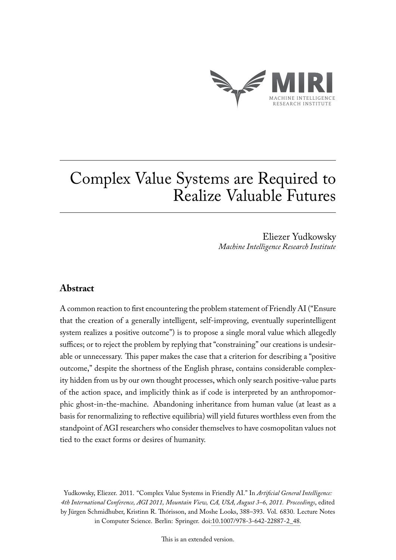

# Complex Value Systems are Required to Realize Valuable Futures

Eliezer Yudkowsky *Machine Intelligence Research Institute*

# **Abstract**

A common reaction to first encountering the problem statement of Friendly AI ("Ensure that the creation of a generally intelligent, self-improving, eventually superintelligent system realizes a positive outcome") is to propose a single moral value which allegedly suffices; or to reject the problem by replying that "constraining" our creations is undesirable or unnecessary. This paper makes the case that a criterion for describing a "positive outcome," despite the shortness of the English phrase, contains considerable complexity hidden from us by our own thought processes, which only search positive-value parts of the action space, and implicitly think as if code is interpreted by an anthropomorphic ghost-in-the-machine. Abandoning inheritance from human value (at least as a basis for renormalizing to reflective equilibria) will yield futures worthless even from the standpoint of AGI researchers who consider themselves to have cosmopolitan values not tied to the exact forms or desires of humanity.

Yudkowsky, Eliezer. 2011. "Complex Value Systems in Friendly AI." In *Artificial General Intelligence: 4th International Conference, AGI 2011, Mountain View, CA, USA, August 3–6, 2011. Proceedings*, edited by Jürgen Schmidhuber, Kristinn R. Thórisson, and Moshe Looks, 388–393. Vol. 6830. Lecture Notes in Computer Science. Berlin: Springer. doi[:10.1007/978-3-642-22887-2\\_48.](http://dx.doi.org/10.1007/978-3-642-22887-2_48)

This is an extended version.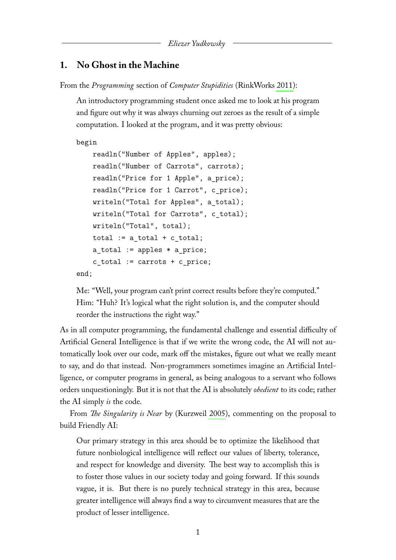## **1. No Ghost in the Machine**

From the *Programming* section of *Computer Stupidities* (RinkWorks [2011\)](#page-15-0):

An introductory programming student once asked me to look at his program and figure out why it was always churning out zeroes as the result of a simple computation. I looked at the program, and it was pretty obvious:

```
begin
```

```
readln("Number of Apples", apples);
    readln("Number of Carrots", carrots);
    readln("Price for 1 Apple", a_price);
    readln("Price for 1 Carrot", c_price);
    writeln("Total for Apples", a_total);
    writeln("Total for Carrots", c_total);
    writeln("Total", total);
    total := a total + c total;
    a total := apples * a price;
    c_total := carrots + c_price;
end;
```
Me: "Well, your program can't print correct results before they're computed." Him: "Huh? It's logical what the right solution is, and the computer should reorder the instructions the right way."

As in all computer programming, the fundamental challenge and essential difficulty of Artificial General Intelligence is that if we write the wrong code, the AI will not automatically look over our code, mark off the mistakes, figure out what we really meant to say, and do that instead. Non-programmers sometimes imagine an Artificial Intelligence, or computer programs in general, as being analogous to a servant who follows orders unquestioningly. But it is not that the AI is absolutely *obedient* to its code; rather the AI simply *is* the code.

From *The Singularity is Near* by (Kurzweil [2005\)](#page-15-1), commenting on the proposal to build Friendly AI:

Our primary strategy in this area should be to optimize the likelihood that future nonbiological intelligence will reflect our values of liberty, tolerance, and respect for knowledge and diversity. The best way to accomplish this is to foster those values in our society today and going forward. If this sounds vague, it is. But there is no purely technical strategy in this area, because greater intelligence will always find a way to circumvent measures that are the product of lesser intelligence.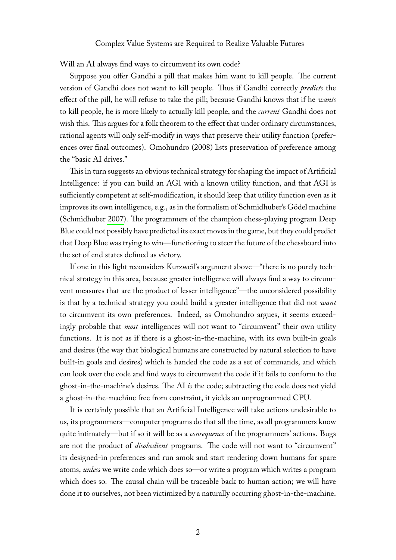Will an AI always find ways to circumvent its own code?

Suppose you offer Gandhi a pill that makes him want to kill people. The current version of Gandhi does not want to kill people. Thus if Gandhi correctly *predicts* the effect of the pill, he will refuse to take the pill; because Gandhi knows that if he *wants* to kill people, he is more likely to actually kill people, and the *current* Gandhi does not wish this. This argues for a folk theorem to the effect that under ordinary circumstances, rational agents will only self-modify in ways that preserve their utility function (preferences over final outcomes). Omohundro [\(2008\)](#page-15-2) lists preservation of preference among the "basic AI drives."

This in turn suggests an obvious technical strategy for shaping the impact of Artificial Intelligence: if you can build an AGI with a known utility function, and that AGI is sufficiently competent at self-modification, it should keep that utility function even as it improves its own intelligence, e.g., as in the formalism of Schmidhuber's Gödel machine (Schmidhuber [2007\)](#page-15-3). The programmers of the champion chess-playing program Deep Blue could not possibly have predicted its exact moves in the game, but they could predict that Deep Blue was trying to win—functioning to steer the future of the chessboard into the set of end states defined as victory.

If one in this light reconsiders Kurzweil's argument above—"there is no purely technical strategy in this area, because greater intelligence will always find a way to circumvent measures that are the product of lesser intelligence"—the unconsidered possibility is that by a technical strategy you could build a greater intelligence that did not *want* to circumvent its own preferences. Indeed, as Omohundro argues, it seems exceedingly probable that *most* intelligences will not want to "circumvent" their own utility functions. It is not as if there is a ghost-in-the-machine, with its own built-in goals and desires (the way that biological humans are constructed by natural selection to have built-in goals and desires) which is handed the code as a set of commands, and which can look over the code and find ways to circumvent the code if it fails to conform to the ghost-in-the-machine's desires. The AI *is* the code; subtracting the code does not yield a ghost-in-the-machine free from constraint, it yields an unprogrammed CPU.

It is certainly possible that an Artificial Intelligence will take actions undesirable to us, its programmers—computer programs do that all the time, as all programmers know quite intimately—but if so it will be as a *consequence* of the programmers' actions. Bugs are not the product of *disobedient* programs. The code will not want to "circumvent" its designed-in preferences and run amok and start rendering down humans for spare atoms, *unless* we write code which does so—or write a program which writes a program which does so. The causal chain will be traceable back to human action; we will have done it to ourselves, not been victimized by a naturally occurring ghost-in-the-machine.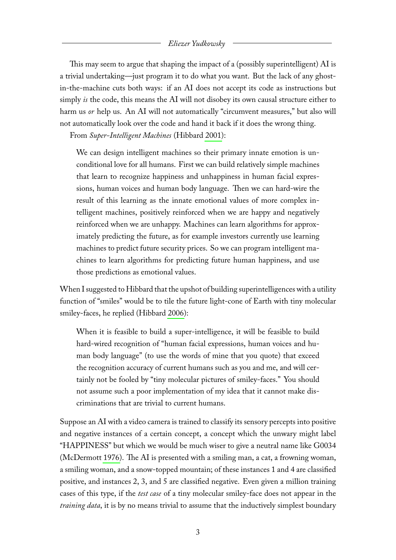This may seem to argue that shaping the impact of a (possibly superintelligent) AI is a trivial undertaking—just program it to do what you want. But the lack of any ghostin-the-machine cuts both ways: if an AI does not accept its code as instructions but simply *is* the code, this means the AI will not disobey its own causal structure either to harm us *or* help us. An AI will not automatically "circumvent measures," but also will not automatically look over the code and hand it back if it does the wrong thing.

From *Super-Intelligent Machines* (Hibbard [2001\)](#page-15-4):

We can design intelligent machines so their primary innate emotion is unconditional love for all humans. First we can build relatively simple machines that learn to recognize happiness and unhappiness in human facial expressions, human voices and human body language. Then we can hard-wire the result of this learning as the innate emotional values of more complex intelligent machines, positively reinforced when we are happy and negatively reinforced when we are unhappy. Machines can learn algorithms for approximately predicting the future, as for example investors currently use learning machines to predict future security prices. So we can program intelligent machines to learn algorithms for predicting future human happiness, and use those predictions as emotional values.

When I suggested to Hibbard that the upshot of building superintelligences with a utility function of "smiles" would be to tile the future light-cone of Earth with tiny molecular smiley-faces, he replied (Hibbard [2006\)](#page-15-5):

When it is feasible to build a super-intelligence, it will be feasible to build hard-wired recognition of "human facial expressions, human voices and human body language" (to use the words of mine that you quote) that exceed the recognition accuracy of current humans such as you and me, and will certainly not be fooled by "tiny molecular pictures of smiley-faces." You should not assume such a poor implementation of my idea that it cannot make discriminations that are trivial to current humans.

Suppose an AI with a video camera is trained to classify its sensory percepts into positive and negative instances of a certain concept, a concept which the unwary might label "HAPPINESS" but which we would be much wiser to give a neutral name like G0034 (McDermott [1976\)](#page-15-6). The AI is presented with a smiling man, a cat, a frowning woman, a smiling woman, and a snow-topped mountain; of these instances 1 and 4 are classified positive, and instances 2, 3, and 5 are classified negative. Even given a million training cases of this type, if the *test case* of a tiny molecular smiley-face does not appear in the *training data*, it is by no means trivial to assume that the inductively simplest boundary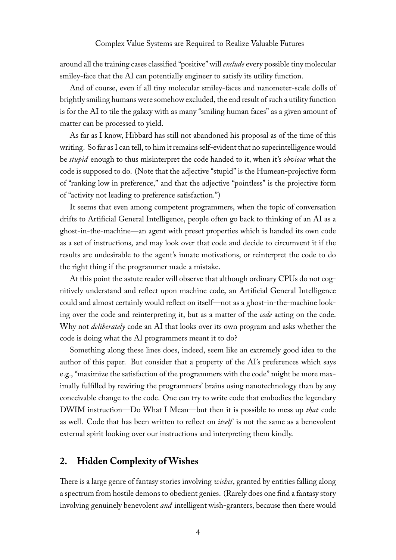around all the training cases classified "positive" will *exclude* every possible tiny molecular smiley-face that the AI can potentially engineer to satisfy its utility function.

And of course, even if all tiny molecular smiley-faces and nanometer-scale dolls of brightly smiling humans were somehow excluded, the end result of such a utility function is for the AI to tile the galaxy with as many "smiling human faces" as a given amount of matter can be processed to yield.

As far as I know, Hibbard has still not abandoned his proposal as of the time of this writing. So far as I can tell, to him it remains self-evident that no superintelligence would be *stupid* enough to thus misinterpret the code handed to it, when it's *obvious* what the code is supposed to do. (Note that the adjective "stupid" is the Humean-projective form of "ranking low in preference," and that the adjective "pointless" is the projective form of "activity not leading to preference satisfaction.")

It seems that even among competent programmers, when the topic of conversation drifts to Artificial General Intelligence, people often go back to thinking of an AI as a ghost-in-the-machine—an agent with preset properties which is handed its own code as a set of instructions, and may look over that code and decide to circumvent it if the results are undesirable to the agent's innate motivations, or reinterpret the code to do the right thing if the programmer made a mistake.

At this point the astute reader will observe that although ordinary CPUs do not cognitively understand and reflect upon machine code, an Artificial General Intelligence could and almost certainly would reflect on itself—not as a ghost-in-the-machine looking over the code and reinterpreting it, but as a matter of the *code* acting on the code. Why not *deliberately* code an AI that looks over its own program and asks whether the code is doing what the AI programmers meant it to do?

Something along these lines does, indeed, seem like an extremely good idea to the author of this paper. But consider that a property of the AI's preferences which says e.g., "maximize the satisfaction of the programmers with the code" might be more maximally fulfilled by rewiring the programmers' brains using nanotechnology than by any conceivable change to the code. One can try to write code that embodies the legendary DWIM instruction—Do What I Mean—but then it is possible to mess up *that* code as well. Code that has been written to reflect on *itself* is not the same as a benevolent external spirit looking over our instructions and interpreting them kindly.

## **2. Hidden Complexity of Wishes**

There is a large genre of fantasy stories involving *wishes*, granted by entities falling along a spectrum from hostile demons to obedient genies. (Rarely does one find a fantasy story involving genuinely benevolent *and* intelligent wish-granters, because then there would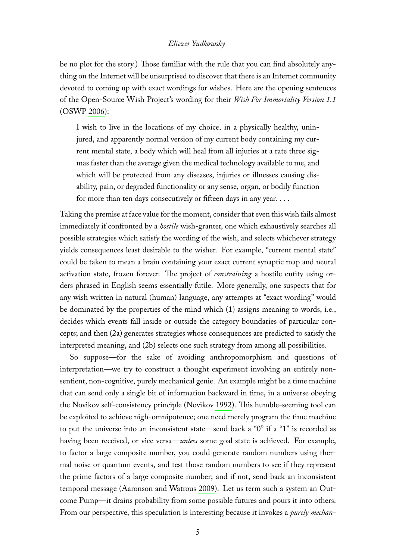be no plot for the story.) Those familiar with the rule that you can find absolutely anything on the Internet will be unsurprised to discover that there is an Internet community devoted to coming up with exact wordings for wishes. Here are the opening sentences of the Open-Source Wish Project's wording for their *Wish For Immortality Version 1.1* (OSWP [2006\)](#page-15-7):

I wish to live in the locations of my choice, in a physically healthy, uninjured, and apparently normal version of my current body containing my current mental state, a body which will heal from all injuries at a rate three sigmas faster than the average given the medical technology available to me, and which will be protected from any diseases, injuries or illnesses causing disability, pain, or degraded functionality or any sense, organ, or bodily function for more than ten days consecutively or fifteen days in any year. . . .

Taking the premise at face value for the moment, consider that even this wish fails almost immediately if confronted by a *hostile* wish-granter, one which exhaustively searches all possible strategies which satisfy the wording of the wish, and selects whichever strategy yields consequences least desirable to the wisher. For example, "current mental state" could be taken to mean a brain containing your exact current synaptic map and neural activation state, frozen forever. The project of *constraining* a hostile entity using orders phrased in English seems essentially futile. More generally, one suspects that for any wish written in natural (human) language, any attempts at "exact wording" would be dominated by the properties of the mind which (1) assigns meaning to words, i.e., decides which events fall inside or outside the category boundaries of particular concepts; and then (2a) generates strategies whose consequences are predicted to satisfy the interpreted meaning, and (2b) selects one such strategy from among all possibilities.

So suppose—for the sake of avoiding anthropomorphism and questions of interpretation—we try to construct a thought experiment involving an entirely nonsentient, non-cognitive, purely mechanical genie. An example might be a time machine that can send only a single bit of information backward in time, in a universe obeying the Novikov self-consistency principle (Novikov [1992\)](#page-15-8). This humble-seeming tool can be exploited to achieve nigh-omnipotence; one need merely program the time machine to put the universe into an inconsistent state—send back a "0" if a "1" is recorded as having been received, or vice versa—*unless* some goal state is achieved. For example, to factor a large composite number, you could generate random numbers using thermal noise or quantum events, and test those random numbers to see if they represent the prime factors of a large composite number; and if not, send back an inconsistent temporal message (Aaronson and Watrous [2009\)](#page-15-9). Let us term such a system an Outcome Pump—it drains probability from some possible futures and pours it into others. From our perspective, this speculation is interesting because it invokes a *purely mechan-*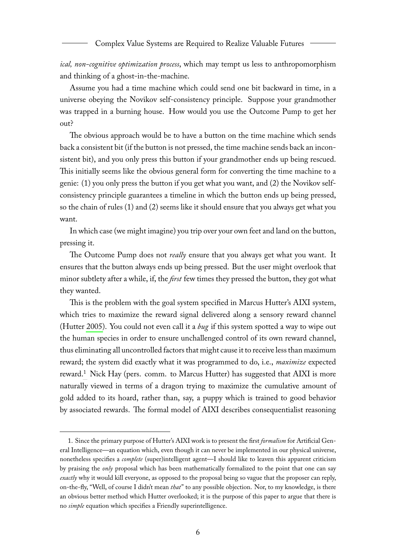*ical, non-cognitive optimization process*, which may tempt us less to anthropomorphism and thinking of a ghost-in-the-machine.

Assume you had a time machine which could send one bit backward in time, in a universe obeying the Novikov self-consistency principle. Suppose your grandmother was trapped in a burning house. How would you use the Outcome Pump to get her out?

The obvious approach would be to have a button on the time machine which sends back a consistent bit (if the button is not pressed, the time machine sends back an inconsistent bit), and you only press this button if your grandmother ends up being rescued. This initially seems like the obvious general form for converting the time machine to a genie: (1) you only press the button if you get what you want, and (2) the Novikov selfconsistency principle guarantees a timeline in which the button ends up being pressed, so the chain of rules (1) and (2) seems like it should ensure that you always get what you want.

In which case (we might imagine) you trip over your own feet and land on the button, pressing it.

The Outcome Pump does not *really* ensure that you always get what you want. It ensures that the button always ends up being pressed. But the user might overlook that minor subtlety after a while, if, the *first* few times they pressed the button, they got what they wanted.

This is the problem with the goal system specified in Marcus Hutter's AIXI system, which tries to maximize the reward signal delivered along a sensory reward channel (Hutter [2005\)](#page-15-10). You could not even call it a *bug* if this system spotted a way to wipe out the human species in order to ensure unchallenged control of its own reward channel, thus eliminating all uncontrolled factors that might cause it to receive less than maximum reward; the system did exactly what it was programmed to do, i.e., *maximize* expected reward.<sup>[1](#page-6-0)</sup> Nick Hay (pers. comm. to Marcus Hutter) has suggested that AIXI is more naturally viewed in terms of a dragon trying to maximize the cumulative amount of gold added to its hoard, rather than, say, a puppy which is trained to good behavior by associated rewards. The formal model of AIXI describes consequentialist reasoning

<span id="page-6-0"></span><sup>1.</sup> Since the primary purpose of Hutter's AIXI work is to present the first *formalism* for Artificial General Intelligence—an equation which, even though it can never be implemented in our physical universe, nonetheless specifies a *complete* (super)intelligent agent—I should like to leaven this apparent criticism by praising the *only* proposal which has been mathematically formalized to the point that one can say *exactly* why it would kill everyone, as opposed to the proposal being so vague that the proposer can reply, on-the-fly, "Well, of course I didn't mean *that*" to any possible objection. Nor, to my knowledge, is there an obvious better method which Hutter overlooked; it is the purpose of this paper to argue that there is no *simple* equation which specifies a Friendly superintelligence.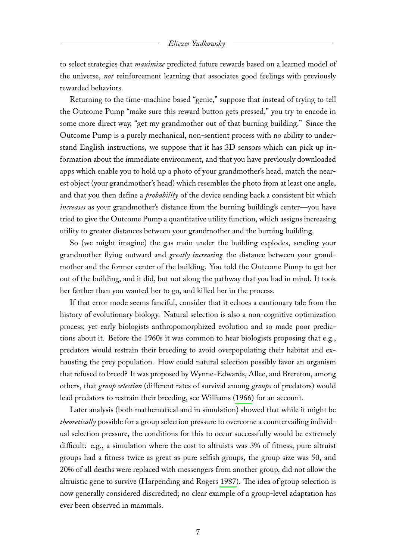to select strategies that *maximize* predicted future rewards based on a learned model of the universe, *not* reinforcement learning that associates good feelings with previously rewarded behaviors.

Returning to the time-machine based "genie," suppose that instead of trying to tell the Outcome Pump "make sure this reward button gets pressed," you try to encode in some more direct way, "get my grandmother out of that burning building." Since the Outcome Pump is a purely mechanical, non-sentient process with no ability to understand English instructions, we suppose that it has 3D sensors which can pick up information about the immediate environment, and that you have previously downloaded apps which enable you to hold up a photo of your grandmother's head, match the nearest object (your grandmother's head) which resembles the photo from at least one angle, and that you then define a *probability* of the device sending back a consistent bit which *increases* as your grandmother's distance from the burning building's center—you have tried to give the Outcome Pump a quantitative utility function, which assigns increasing utility to greater distances between your grandmother and the burning building.

So (we might imagine) the gas main under the building explodes, sending your grandmother flying outward and *greatly increasing* the distance between your grandmother and the former center of the building. You told the Outcome Pump to get her out of the building, and it did, but not along the pathway that you had in mind. It took her farther than you wanted her to go, and killed her in the process.

If that error mode seems fanciful, consider that it echoes a cautionary tale from the history of evolutionary biology. Natural selection is also a non-cognitive optimization process; yet early biologists anthropomorphized evolution and so made poor predictions about it. Before the 1960s it was common to hear biologists proposing that e.g., predators would restrain their breeding to avoid overpopulating their habitat and exhausting the prey population. How could natural selection possibly favor an organism that refused to breed? It was proposed by Wynne-Edwards, Allee, and Brereton, among others, that *group selection* (different rates of survival among *groups* of predators) would lead predators to restrain their breeding, see Williams [\(1966\)](#page-15-11) for an account.

Later analysis (both mathematical and in simulation) showed that while it might be *theoretically* possible for a group selection pressure to overcome a countervailing individual selection pressure, the conditions for this to occur successfully would be extremely difficult: e.g., a simulation where the cost to altruists was 3% of fitness, pure altruist groups had a fitness twice as great as pure selfish groups, the group size was 50, and 20% of all deaths were replaced with messengers from another group, did not allow the altruistic gene to survive (Harpending and Rogers [1987\)](#page-15-12). The idea of group selection is now generally considered discredited; no clear example of a group-level adaptation has ever been observed in mammals.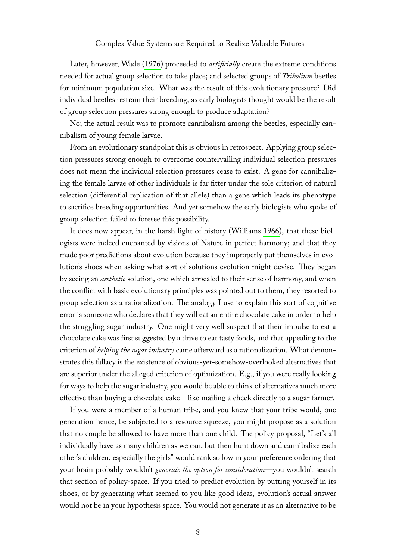Later, however, Wade [\(1976\)](#page-15-13) proceeded to *artificially* create the extreme conditions needed for actual group selection to take place; and selected groups of *Tribolium* beetles for minimum population size. What was the result of this evolutionary pressure? Did individual beetles restrain their breeding, as early biologists thought would be the result of group selection pressures strong enough to produce adaptation?

No; the actual result was to promote cannibalism among the beetles, especially cannibalism of young female larvae.

From an evolutionary standpoint this is obvious in retrospect. Applying group selection pressures strong enough to overcome countervailing individual selection pressures does not mean the individual selection pressures cease to exist. A gene for cannibalizing the female larvae of other individuals is far fitter under the sole criterion of natural selection (differential replication of that allele) than a gene which leads its phenotype to sacrifice breeding opportunities. And yet somehow the early biologists who spoke of group selection failed to foresee this possibility.

It does now appear, in the harsh light of history (Williams [1966\)](#page-15-11), that these biologists were indeed enchanted by visions of Nature in perfect harmony; and that they made poor predictions about evolution because they improperly put themselves in evolution's shoes when asking what sort of solutions evolution might devise. They began by seeing an *aesthetic* solution, one which appealed to their sense of harmony, and when the conflict with basic evolutionary principles was pointed out to them, they resorted to group selection as a rationalization. The analogy I use to explain this sort of cognitive error is someone who declares that they will eat an entire chocolate cake in order to help the struggling sugar industry. One might very well suspect that their impulse to eat a chocolate cake was first suggested by a drive to eat tasty foods, and that appealing to the criterion of *helping the sugar industry* came afterward as a rationalization. What demonstrates this fallacy is the existence of obvious-yet-somehow-overlooked alternatives that are superior under the alleged criterion of optimization. E.g., if you were really looking for ways to help the sugar industry, you would be able to think of alternatives much more effective than buying a chocolate cake—like mailing a check directly to a sugar farmer.

If you were a member of a human tribe, and you knew that your tribe would, one generation hence, be subjected to a resource squeeze, you might propose as a solution that no couple be allowed to have more than one child. The policy proposal, "Let's all individually have as many children as we can, but then hunt down and cannibalize each other's children, especially the girls" would rank so low in your preference ordering that your brain probably wouldn't *generate the option for consideration*—you wouldn't search that section of policy-space. If you tried to predict evolution by putting yourself in its shoes, or by generating what seemed to you like good ideas, evolution's actual answer would not be in your hypothesis space. You would not generate it as an alternative to be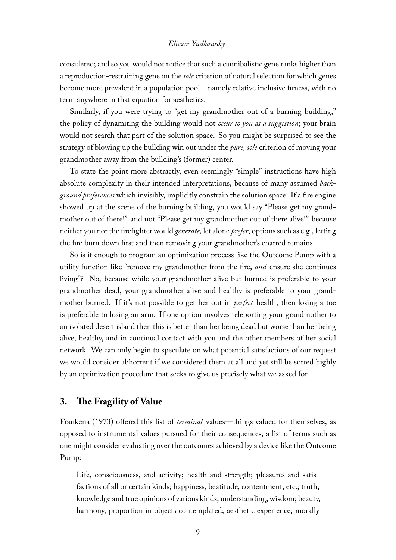considered; and so you would not notice that such a cannibalistic gene ranks higher than a reproduction-restraining gene on the *sole* criterion of natural selection for which genes become more prevalent in a population pool—namely relative inclusive fitness, with no term anywhere in that equation for aesthetics.

Similarly, if you were trying to "get my grandmother out of a burning building," the policy of dynamiting the building would not *occur to you as a suggestion*; your brain would not search that part of the solution space. So you might be surprised to see the strategy of blowing up the building win out under the *pure, sole* criterion of moving your grandmother away from the building's (former) center.

To state the point more abstractly, even seemingly "simple" instructions have high absolute complexity in their intended interpretations, because of many assumed *background preferences* which invisibly, implicitly constrain the solution space. If a fire engine showed up at the scene of the burning building, you would say "Please get my grandmother out of there!" and not "Please get my grandmother out of there alive!" because neither you nor the firefighter would *generate*, let alone *prefer*, options such as e.g., letting the fire burn down first and then removing your grandmother's charred remains.

So is it enough to program an optimization process like the Outcome Pump with a utility function like "remove my grandmother from the fire, *and* ensure she continues living"? No, because while your grandmother alive but burned is preferable to your grandmother dead, your grandmother alive and healthy is preferable to your grandmother burned. If it's not possible to get her out in *perfect* health, then losing a toe is preferable to losing an arm. If one option involves teleporting your grandmother to an isolated desert island then this is better than her being dead but worse than her being alive, healthy, and in continual contact with you and the other members of her social network. We can only begin to speculate on what potential satisfactions of our request we would consider abhorrent if we considered them at all and yet still be sorted highly by an optimization procedure that seeks to give us precisely what we asked for.

## **3. The Fragility of Value**

Frankena [\(1973\)](#page-15-14) offered this list of *terminal* values—things valued for themselves, as opposed to instrumental values pursued for their consequences; a list of terms such as one might consider evaluating over the outcomes achieved by a device like the Outcome Pump:

Life, consciousness, and activity; health and strength; pleasures and satisfactions of all or certain kinds; happiness, beatitude, contentment, etc.; truth; knowledge and true opinions of various kinds, understanding, wisdom; beauty, harmony, proportion in objects contemplated; aesthetic experience; morally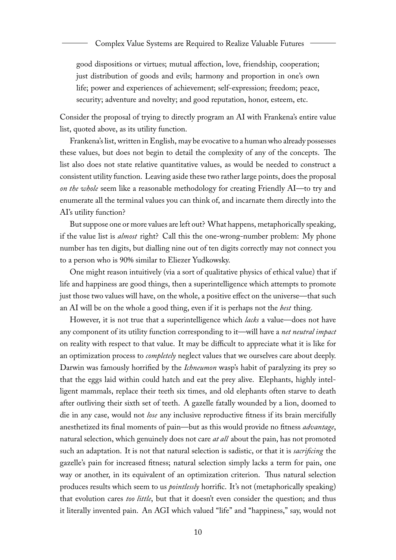good dispositions or virtues; mutual affection, love, friendship, cooperation; just distribution of goods and evils; harmony and proportion in one's own life; power and experiences of achievement; self-expression; freedom; peace, security; adventure and novelty; and good reputation, honor, esteem, etc.

Consider the proposal of trying to directly program an AI with Frankena's entire value list, quoted above, as its utility function.

Frankena's list, written in English, may be evocative to a human who already possesses these values, but does not begin to detail the complexity of any of the concepts. The list also does not state relative quantitative values, as would be needed to construct a consistent utility function. Leaving aside these two rather large points, does the proposal *on the whole* seem like a reasonable methodology for creating Friendly AI—to try and enumerate all the terminal values you can think of, and incarnate them directly into the AI's utility function?

But suppose one or more values are left out? What happens, metaphorically speaking, if the value list is *almost* right? Call this the one-wrong-number problem: My phone number has ten digits, but dialling nine out of ten digits correctly may not connect you to a person who is 90% similar to Eliezer Yudkowsky.

One might reason intuitively (via a sort of qualitative physics of ethical value) that if life and happiness are good things, then a superintelligence which attempts to promote just those two values will have, on the whole, a positive effect on the universe—that such an AI will be on the whole a good thing, even if it is perhaps not the *best* thing.

However, it is not true that a superintelligence which *lacks* a value—does not have any component of its utility function corresponding to it—will have a *net neutral impact* on reality with respect to that value. It may be difficult to appreciate what it is like for an optimization process to *completely* neglect values that we ourselves care about deeply. Darwin was famously horrified by the *Ichneumon* wasp's habit of paralyzing its prey so that the eggs laid within could hatch and eat the prey alive. Elephants, highly intelligent mammals, replace their teeth six times, and old elephants often starve to death after outliving their sixth set of teeth. A gazelle fatally wounded by a lion, doomed to die in any case, would not *lose* any inclusive reproductive fitness if its brain mercifully anesthetized its final moments of pain—but as this would provide no fitness *advantage*, natural selection, which genuinely does not care *at all* about the pain, has not promoted such an adaptation. It is not that natural selection is sadistic, or that it is *sacrificing* the gazelle's pain for increased fitness; natural selection simply lacks a term for pain, one way or another, in its equivalent of an optimization criterion. Thus natural selection produces results which seem to us *pointlessly* horrific. It's not (metaphorically speaking) that evolution cares *too little*, but that it doesn't even consider the question; and thus it literally invented pain. An AGI which valued "life" and "happiness," say, would not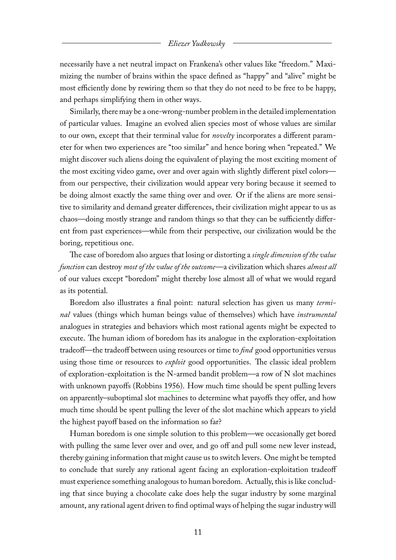necessarily have a net neutral impact on Frankena's other values like "freedom." Maximizing the number of brains within the space defined as "happy" and "alive" might be most efficiently done by rewiring them so that they do not need to be free to be happy, and perhaps simplifying them in other ways.

Similarly, there may be a one-wrong-number problem in the detailed implementation of particular values. Imagine an evolved alien species most of whose values are similar to our own, except that their terminal value for *novelty* incorporates a different parameter for when two experiences are "too similar" and hence boring when "repeated." We might discover such aliens doing the equivalent of playing the most exciting moment of the most exciting video game, over and over again with slightly different pixel colors from our perspective, their civilization would appear very boring because it seemed to be doing almost exactly the same thing over and over. Or if the aliens are more sensitive to similarity and demand greater differences, their civilization might appear to us as chaos—doing mostly strange and random things so that they can be sufficiently different from past experiences—while from their perspective, our civilization would be the boring, repetitious one.

The case of boredom also argues that losing or distorting a *single dimension of the value function* can destroy *most of the value of the outcome*—a civilization which shares *almost all* of our values except "boredom" might thereby lose almost all of what we would regard as its potential.

Boredom also illustrates a final point: natural selection has given us many *terminal* values (things which human beings value of themselves) which have *instrumental* analogues in strategies and behaviors which most rational agents might be expected to execute. The human idiom of boredom has its analogue in the exploration-exploitation tradeoff—the tradeoff between using resources or time to *find* good opportunities versus using those time or resources to *exploit* good opportunities. The classic ideal problem of exploration-exploitation is the N-armed bandit problem—a row of N slot machines with unknown payoffs (Robbins [1956\)](#page-15-15). How much time should be spent pulling levers on apparently–suboptimal slot machines to determine what payoffs they offer, and how much time should be spent pulling the lever of the slot machine which appears to yield the highest payoff based on the information so far?

Human boredom is one simple solution to this problem—we occasionally get bored with pulling the same lever over and over, and go off and pull some new lever instead, thereby gaining information that might cause us to switch levers. One might be tempted to conclude that surely any rational agent facing an exploration-exploitation tradeoff must experience something analogous to human boredom. Actually, this is like concluding that since buying a chocolate cake does help the sugar industry by some marginal amount, any rational agent driven to find optimal ways of helping the sugar industry will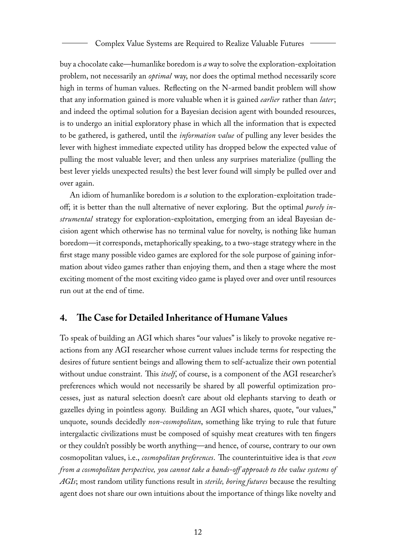buy a chocolate cake—humanlike boredom is *a* way to solve the exploration-exploitation problem, not necessarily an *optimal* way, nor does the optimal method necessarily score high in terms of human values. Reflecting on the N-armed bandit problem will show that any information gained is more valuable when it is gained *earlier* rather than *later*; and indeed the optimal solution for a Bayesian decision agent with bounded resources, is to undergo an initial exploratory phase in which all the information that is expected to be gathered, is gathered, until the *information value* of pulling any lever besides the lever with highest immediate expected utility has dropped below the expected value of pulling the most valuable lever; and then unless any surprises materialize (pulling the best lever yields unexpected results) the best lever found will simply be pulled over and over again.

An idiom of humanlike boredom is *a* solution to the exploration-exploitation tradeoff; it is better than the null alternative of never exploring. But the optimal *purely instrumental* strategy for exploration-exploitation, emerging from an ideal Bayesian decision agent which otherwise has no terminal value for novelty, is nothing like human boredom—it corresponds, metaphorically speaking, to a two-stage strategy where in the first stage many possible video games are explored for the sole purpose of gaining information about video games rather than enjoying them, and then a stage where the most exciting moment of the most exciting video game is played over and over until resources run out at the end of time.

# **4. The Case for Detailed Inheritance of Humane Values**

To speak of building an AGI which shares "our values" is likely to provoke negative reactions from any AGI researcher whose current values include terms for respecting the desires of future sentient beings and allowing them to self-actualize their own potential without undue constraint. This *itself*, of course, is a component of the AGI researcher's preferences which would not necessarily be shared by all powerful optimization processes, just as natural selection doesn't care about old elephants starving to death or gazelles dying in pointless agony. Building an AGI which shares, quote, "our values," unquote, sounds decidedly *non-cosmopolitan*, something like trying to rule that future intergalactic civilizations must be composed of squishy meat creatures with ten fingers or they couldn't possibly be worth anything—and hence, of course, contrary to our own cosmopolitan values, i.e., *cosmopolitan preferences*. The counterintuitive idea is that *even from a cosmopolitan perspective, you cannot take a hands-off approach to the value systems of AGIs*; most random utility functions result in *sterile, boring futures* because the resulting agent does not share our own intuitions about the importance of things like novelty and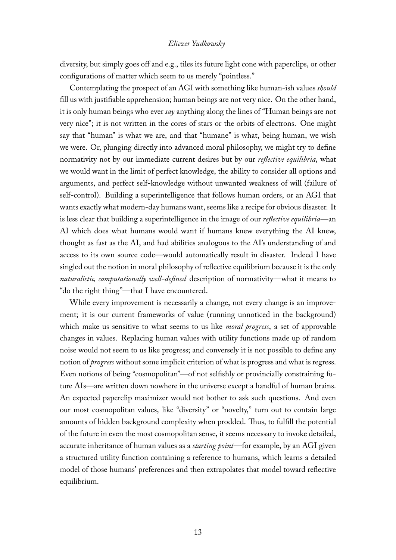diversity, but simply goes off and e.g., tiles its future light cone with paperclips, or other configurations of matter which seem to us merely "pointless."

Contemplating the prospect of an AGI with something like human-ish values *should* fill us with justifiable apprehension; human beings are not very nice. On the other hand, it is only human beings who ever *say* anything along the lines of "Human beings are not very nice"; it is not written in the cores of stars or the orbits of electrons. One might say that "human" is what we are, and that "humane" is what, being human, we wish we were. Or, plunging directly into advanced moral philosophy, we might try to define normativity not by our immediate current desires but by our *reflective equilibria*, what we would want in the limit of perfect knowledge, the ability to consider all options and arguments, and perfect self-knowledge without unwanted weakness of will (failure of self-control). Building a superintelligence that follows human orders, or an AGI that wants exactly what modern-day humans want, seems like a recipe for obvious disaster. It is less clear that building a superintelligence in the image of our *reflective equilibria*—an AI which does what humans would want if humans knew everything the AI knew, thought as fast as the AI, and had abilities analogous to the AI's understanding of and access to its own source code—would automatically result in disaster. Indeed I have singled out the notion in moral philosophy of reflective equilibrium because it is the only *naturalistic, computationally well-defined* description of normativity—what it means to "do the right thing"—that I have encountered.

While every improvement is necessarily a change, not every change is an improvement; it is our current frameworks of value (running unnoticed in the background) which make us sensitive to what seems to us like *moral progress*, a set of approvable changes in values. Replacing human values with utility functions made up of random noise would not seem to us like progress; and conversely it is not possible to define any notion of *progress* without some implicit criterion of what is progress and what is regress. Even notions of being "cosmopolitan"—of not selfishly or provincially constraining future AIs—are written down nowhere in the universe except a handful of human brains. An expected paperclip maximizer would not bother to ask such questions. And even our most cosmopolitan values, like "diversity" or "novelty," turn out to contain large amounts of hidden background complexity when prodded. Thus, to fulfill the potential of the future in even the most cosmopolitan sense, it seems necessary to invoke detailed, accurate inheritance of human values as a *starting point*—for example, by an AGI given a structured utility function containing a reference to humans, which learns a detailed model of those humans' preferences and then extrapolates that model toward reflective equilibrium.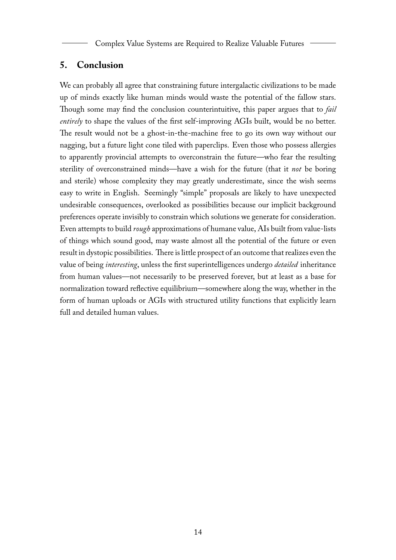Complex Value Systems are Required to Realize Valuable Futures

## **5. Conclusion**

We can probably all agree that constraining future intergalactic civilizations to be made up of minds exactly like human minds would waste the potential of the fallow stars. Though some may find the conclusion counterintuitive, this paper argues that to *fail entirely* to shape the values of the first self-improving AGIs built, would be no better. The result would not be a ghost-in-the-machine free to go its own way without our nagging, but a future light cone tiled with paperclips. Even those who possess allergies to apparently provincial attempts to overconstrain the future—who fear the resulting sterility of overconstrained minds—have a wish for the future (that it *not* be boring and sterile) whose complexity they may greatly underestimate, since the wish seems easy to write in English. Seemingly "simple" proposals are likely to have unexpected undesirable consequences, overlooked as possibilities because our implicit background preferences operate invisibly to constrain which solutions we generate for consideration. Even attempts to build *rough* approximations of humane value, AIs built from value-lists of things which sound good, may waste almost all the potential of the future or even result in dystopic possibilities. There is little prospect of an outcome that realizes even the value of being *interesting*, unless the first superintelligences undergo *detailed* inheritance from human values—not necessarily to be preserved forever, but at least as a base for normalization toward reflective equilibrium—somewhere along the way, whether in the form of human uploads or AGIs with structured utility functions that explicitly learn full and detailed human values.